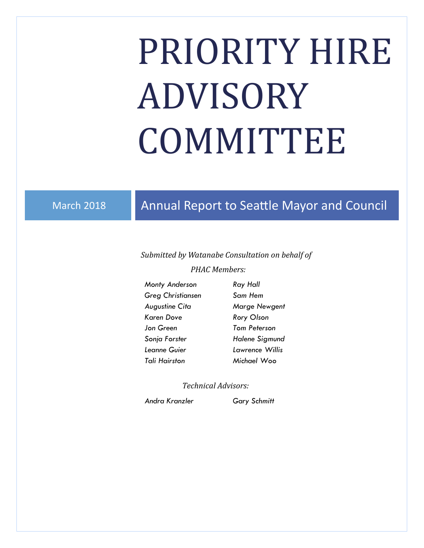# PRIORITY HIRE ADVISORY **COMMITTEE**

# March 2018 Annual Report to Seattle Mayor and Council

#### *Submitted by Watanabe Consultation on behalf of*

#### *PHAC Members:*

*Monty Anderson Ray Hall Greg Christiansen Sam Hem Augustine Cita Marge Newgent Karen Dove Rory Olson Jon Green Tom Peterson Sonja Forster Halene Sigmund Leanne Guier Lawrence Willis Tali Hairston Michael Woo*

 *Technical Advisors:*

*Andra Kranzler Gary Schmitt*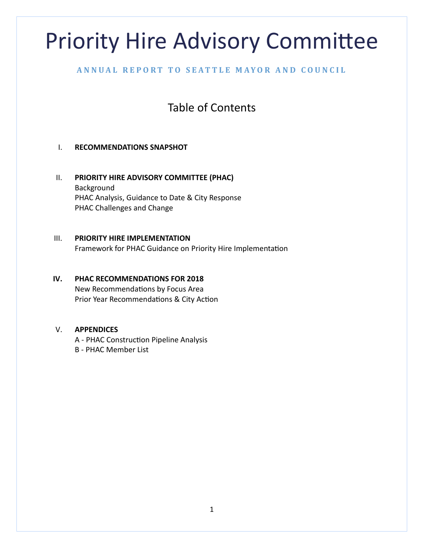# Priority Hire Advisory Committee

## **ANNUAL REPORT TO SEATTLE MAYOR AND COUNCIL**

# Table of Contents

#### I. **RECOMMENDATIONS SNAPSHOT**

- II. **PRIORITY HIRE ADVISORY COMMITTEE (PHAC)** Background PHAC Analysis, Guidance to Date & City Response PHAC Challenges and Change
- III. **PRIORITY HIRE IMPLEMENTATION** Framework for PHAC Guidance on Priority Hire Implementation
- **IV. PHAC RECOMMENDATIONS FOR 2018**  New Recommendations by Focus Area Prior Year Recommendations & City Action

#### V. **APPENDICES**

A - PHAC Construction Pipeline Analysis B - PHAC Member List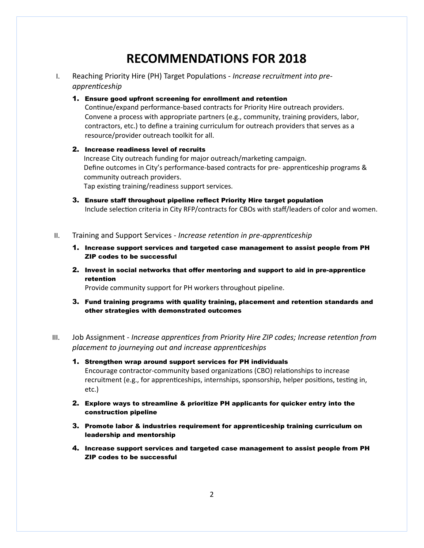# **RECOMMENDATIONS FOR 2018**

- I. Reaching Priority Hire (PH) Target Populations *Increase recruitment into preapprenticeship*
	- 1. Ensure good upfront screening for enrollment and retention

Continue/expand performance-based contracts for Priority Hire outreach providers. Convene a process with appropriate partners (e.g., community, training providers, labor, contractors, etc.) to define a training curriculum for outreach providers that serves as a resource/provider outreach toolkit for all.

- 2. Increase readiness level of recruits Increase City outreach funding for major outreach/marketing campaign. Define outcomes in City's performance-based contracts for pre- apprenticeship programs & community outreach providers. Tap existing training/readiness support services.
- 3. Ensure staff throughout pipeline reflect Priority Hire target population Include selection criteria in City RFP/contracts for CBOs with staff/leaders of color and women.
- II. Training and Support Services *Increase retention in pre-apprenticeship*
	- 1. Increase support services and targeted case management to assist people from PH ZIP codes to be successful
	- 2. Invest in social networks that offer mentoring and support to aid in pre-apprentice retention

Provide community support for PH workers throughout pipeline.

- 3. Fund training programs with quality training, placement and retention standards and other strategies with demonstrated outcomes
- III. Job Assignment *Increase apprentices from Priority Hire ZIP codes; Increase retention from placement to journeying out and increase apprenticeships*
	- 1. Strengthen wrap around support services for PH individuals Encourage contractor-community based organizations (CBO) relationships to increase recruitment (e.g., for apprenticeships, internships, sponsorship, helper positions, testing in, etc.)
	- 2. Explore ways to streamline & prioritize PH applicants for quicker entry into the construction pipeline
	- 3. Promote labor & industries requirement for apprenticeship training curriculum on leadership and mentorship
	- 4. Increase support services and targeted case management to assist people from PH ZIP codes to be successful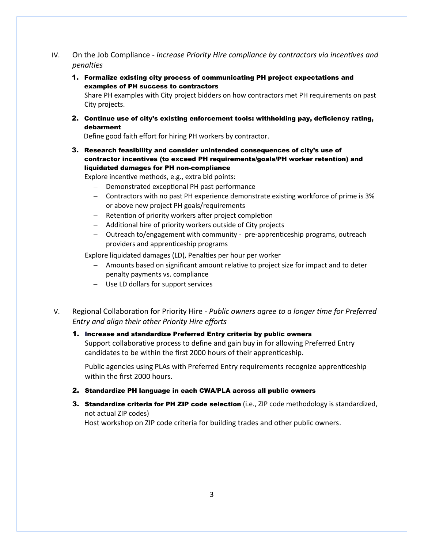- IV. On the Job Compliance *Increase Priority Hire compliance by contractors via incentives and penalties*
	- 1. Formalize existing city process of communicating PH project expectations and examples of PH success to contractors

Share PH examples with City project bidders on how contractors met PH requirements on past City projects.

2. Continue use of city's existing enforcement tools: withholding pay, deficiency rating, debarment

Define good faith effort for hiring PH workers by contractor.

3. Research feasibility and consider unintended consequences of city's use of contractor incentives (to exceed PH requirements/goals/PH worker retention) and liquidated damages for PH non-compliance

Explore incentive methods, e.g., extra bid points:

- Demonstrated exceptional PH past performance
- Contractors with no past PH experience demonstrate existing workforce of prime is 3% or above new project PH goals/requirements
- $-$  Retention of priority workers after project completion
- Additional hire of priority workers outside of City projects
- Outreach to/engagement with community pre-apprenticeship programs, outreach providers and apprenticeship programs

Explore liquidated damages (LD), Penalties per hour per worker

- Amounts based on significant amount relative to project size for impact and to deter penalty payments vs. compliance
- Use LD dollars for support services
- V. Regional Collaboration for Priority Hire *Public owners agree to a longer time for Preferred Entry and align their other Priority Hire efforts*
	- 1. Increase and standardize Preferred Entry criteria by public owners Support collaborative process to define and gain buy in for allowing Preferred Entry candidates to be within the first 2000 hours of their apprenticeship.

Public agencies using PLAs with Preferred Entry requirements recognize apprenticeship within the first 2000 hours.

- 2. Standardize PH language in each CWA/PLA across all public owners
- **3. Standardize criteria for PH ZIP code selection** (i.e., ZIP code methodology is standardized, not actual ZIP codes)

Host workshop on ZIP code criteria for building trades and other public owners.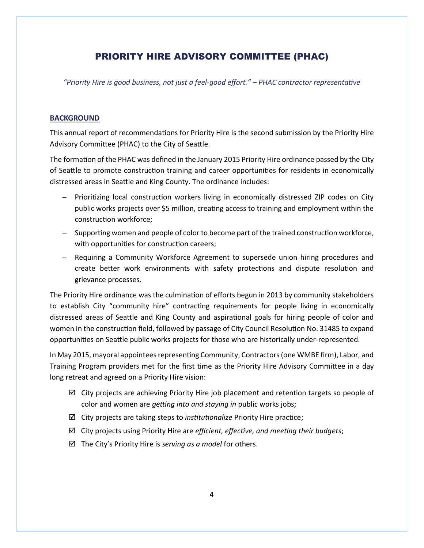# PRIORITY HIRE ADVISORY COMMITTEE (PHAC)

*"Priority Hire is good business, not just a feel-good effort." – PHAC contractor representative* 

#### **BACKGROUND**

This annual report of recommendations for Priority Hire is the second submission by the Priority Hire Advisory Committee (PHAC) to the City of Seattle.

The formation of the PHAC was defined in the January 2015 Priority Hire ordinance passed by the City of Seattle to promote construction training and career opportunities for residents in economically distressed areas in Seattle and King County. The ordinance includes:

- Prioritizing local construction workers living in economically distressed ZIP codes on City public works projects over \$5 million, creating access to training and employment within the construction workforce;
- $-$  Supporting women and people of color to become part of the trained construction workforce, with opportunities for construction careers;
- Requiring a Community Workforce Agreement to supersede union hiring procedures and create better work environments with safety protections and dispute resolution and grievance processes.

The Priority Hire ordinance was the culmination of efforts begun in 2013 by community stakeholders to establish City "community hire" contracting requirements for people living in economically distressed areas of Seattle and King County and aspirational goals for hiring people of color and women in the construction field, followed by passage of City Council Resolution No. 31485 to expand opportunities on Seattle public works projects for those who are historically under-represented.

In May 2015, mayoral appointees representing Community, Contractors (one WMBE firm), Labor, and Training Program providers met for the first time as the Priority Hire Advisory Committee in a day long retreat and agreed on a Priority Hire vision:

- $\boxtimes$  City projects are achieving Priority Hire job placement and retention targets so people of color and women are *getting into and staying in* public works jobs;
- City projects are taking steps to *institutionalize* Priority Hire practice;
- City projects using Priority Hire are *efficient, effective, and meeting their budgets*;
- The City's Priority Hire is *serving as a model* for others.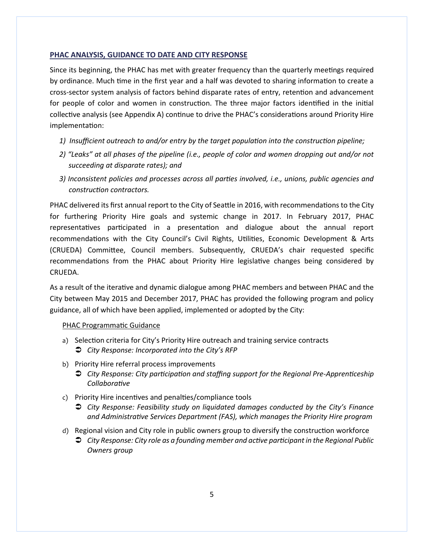#### **PHAC ANALYSIS, GUIDANCE TO DATE AND CITY RESPONSE**

Since its beginning, the PHAC has met with greater frequency than the quarterly meetings required by ordinance. Much time in the first year and a half was devoted to sharing information to create a cross-sector system analysis of factors behind disparate rates of entry, retention and advancement for people of color and women in construction. The three major factors identified in the initial collective analysis (see Appendix A) continue to drive the PHAC's considerations around Priority Hire implementation:

- *1) Insufficient outreach to and/or entry by the target population into the construction pipeline;*
- *2) "Leaks" at all phases of the pipeline (i.e., people of color and women dropping out and/or not succeeding at disparate rates); and*
- *3) Inconsistent policies and processes across all parties involved, i.e., unions, public agencies and construction contractors.*

PHAC delivered its first annual report to the City of Seattle in 2016, with recommendations to the City for furthering Priority Hire goals and systemic change in 2017. In February 2017, PHAC representatives participated in a presentation and dialogue about the annual report recommendations with the City Council's Civil Rights, Utilities, Economic Development & Arts (CRUEDA) Committee, Council members. Subsequently, CRUEDA's chair requested specific recommendations from the PHAC about Priority Hire legislative changes being considered by CRUEDA.

As a result of the iterative and dynamic dialogue among PHAC members and between PHAC and the City between May 2015 and December 2017, PHAC has provided the following program and policy guidance, all of which have been applied, implemented or adopted by the City:

#### PHAC Programmatic Guidance

- a) Selection criteria for City's Priority Hire outreach and training service contracts *City Response: Incorporated into the City's RFP*
- b) Priority Hire referral process improvements
	- *City Response: City participation and staffing support for the Regional Pre-Apprenticeship Collaborative*
- c) Priority Hire incentives and penalties/compliance tools
	- *City Response: Feasibility study on liquidated damages conducted by the City's Finance and Administrative Services Department (FAS), which manages the Priority Hire program*
- d) Regional vision and City role in public owners group to diversify the construction workforce
	- *City Response: City role as a founding member and active participant in the Regional Public Owners group*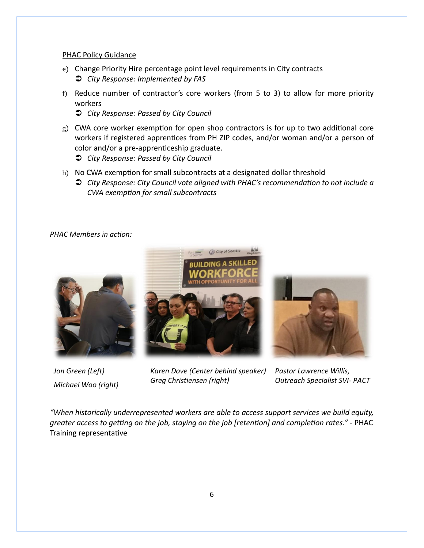#### PHAC Policy Guidance

- e) Change Priority Hire percentage point level requirements in City contracts *City Response: Implemented by FAS*
- f) Reduce number of contractor's core workers (from 5 to 3) to allow for more priority workers
	- *City Response: Passed by City Council*
- g) CWA core worker exemption for open shop contractors is for up to two additional core workers if registered apprentices from PH ZIP codes, and/or woman and/or a person of color and/or a pre-apprenticeship graduate.
	- *City Response: Passed by City Council*
- h) No CWA exemption for small subcontracts at a designated dollar threshold
	- *City Response: City Council vote aligned with PHAC's recommendation to not include a CWA exemption for small subcontracts*

*PHAC Members in action:*



*Jon Green (Left) Michael Woo (right)*



*Karen Dove (Center behind speaker) Pastor Lawrence Willis, Greg Christiensen (right)*



*Outreach Specialist SVI- PACT*

*"When historically underrepresented workers are able to access support services we build equity, greater access to getting on the job, staying on the job [retention] and completion rates."* - PHAC Training representative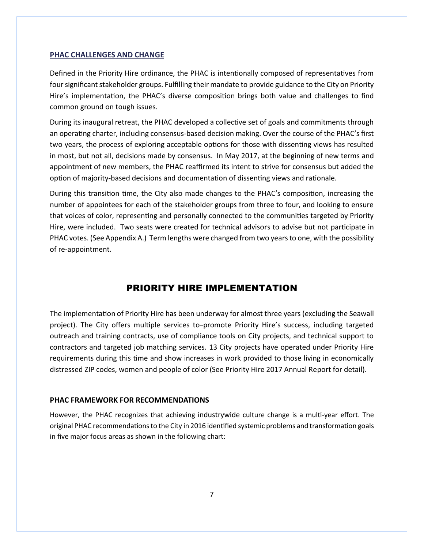#### **PHAC CHALLENGES AND CHANGE**

Defined in the Priority Hire ordinance, the PHAC is intentionally composed of representatives from four significant stakeholder groups. Fulfilling their mandate to provide guidance to the City on Priority Hire's implementation, the PHAC's diverse composition brings both value and challenges to find common ground on tough issues.

During its inaugural retreat, the PHAC developed a collective set of goals and commitments through an operating charter, including consensus-based decision making. Over the course of the PHAC's first two years, the process of exploring acceptable options for those with dissenting views has resulted in most, but not all, decisions made by consensus. In May 2017, at the beginning of new terms and appointment of new members, the PHAC reaffirmed its intent to strive for consensus but added the option of majority-based decisions and documentation of dissenting views and rationale.

During this transition time, the City also made changes to the PHAC's composition, increasing the number of appointees for each of the stakeholder groups from three to four, and looking to ensure that voices of color, representing and personally connected to the communities targeted by Priority Hire, were included. Two seats were created for technical advisors to advise but not participate in PHAC votes. (See Appendix A.) Term lengths were changed from two years to one, with the possibility of re-appointment.

### PRIORITY HIRE IMPLEMENTATION

The implementation of Priority Hire has been underway for almost three years (excluding the Seawall project). The City offers multiple services to-promote Priority Hire's success, including targeted outreach and training contracts, use of compliance tools on City projects, and technical support to contractors and targeted job matching services. 13 City projects have operated under Priority Hire requirements during this time and show increases in work provided to those living in economically distressed ZIP codes, women and people of color (See Priority Hire 2017 Annual Report for detail).

#### **PHAC FRAMEWORK FOR RECOMMENDATIONS**

However, the PHAC recognizes that achieving industrywide culture change is a multi-year effort. The original PHAC recommendations to the City in 2016 identified systemic problems and transformation goals in five major focus areas as shown in the following chart: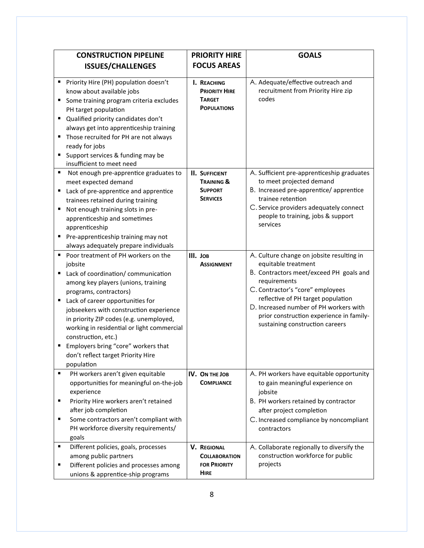| <b>CONSTRUCTION PIPELINE</b>                                                                                                                                                                                                                                                                                                                                                                                                                                                                                                                                                                                                                      | <b>PRIORITY HIRE</b>                                                                                                                                              | <b>GOALS</b>                                                                                                                                                                                                                                                                                                                   |
|---------------------------------------------------------------------------------------------------------------------------------------------------------------------------------------------------------------------------------------------------------------------------------------------------------------------------------------------------------------------------------------------------------------------------------------------------------------------------------------------------------------------------------------------------------------------------------------------------------------------------------------------------|-------------------------------------------------------------------------------------------------------------------------------------------------------------------|--------------------------------------------------------------------------------------------------------------------------------------------------------------------------------------------------------------------------------------------------------------------------------------------------------------------------------|
| <b>ISSUES/CHALLENGES</b>                                                                                                                                                                                                                                                                                                                                                                                                                                                                                                                                                                                                                          | <b>FOCUS AREAS</b>                                                                                                                                                |                                                                                                                                                                                                                                                                                                                                |
| Priority Hire (PH) population doesn't<br>п<br>know about available jobs<br>Some training program criteria excludes<br>PH target population<br>Qualified priority candidates don't<br>always get into apprenticeship training<br>Those recruited for PH are not always<br>ready for jobs<br>Support services & funding may be<br>insufficient to meet need<br>Not enough pre-apprentice graduates to<br>п<br>meet expected demand<br>Lack of pre-apprentice and apprentice<br>٠<br>trainees retained during training<br>Not enough training slots in pre-<br>apprenticeship and sometimes<br>apprenticeship<br>Pre-apprenticeship training may not | I. REACHING<br><b>PRIORITY HIRE</b><br><b>TARGET</b><br><b>POPULATIONS</b><br><b>II. SUFFICIENT</b><br><b>TRAINING &amp;</b><br><b>SUPPORT</b><br><b>SERVICES</b> | A. Adequate/effective outreach and<br>recruitment from Priority Hire zip<br>codes<br>A. Sufficient pre-apprenticeship graduates<br>to meet projected demand<br>B. Increased pre-apprentice/apprentice<br>trainee retention<br>C. Service providers adequately connect<br>people to training, jobs & support<br>services        |
| always adequately prepare individuals<br>Poor treatment of PH workers on the<br>jobsite<br>Lack of coordination/ communication<br>п<br>among key players (unions, training<br>programs, contractors)<br>Lack of career opportunities for<br>jobseekers with construction experience<br>in priority ZIP codes (e.g. unemployed,<br>working in residential or light commercial<br>construction, etc.)<br>Employers bring "core" workers that<br>don't reflect target Priority Hire<br>population                                                                                                                                                    | III. JOB<br><b>ASSIGNMENT</b>                                                                                                                                     | A. Culture change on jobsite resulting in<br>equitable treatment<br>B. Contractors meet/exceed PH goals and<br>requirements<br>C. Contractor's "core" employees<br>reflective of PH target population<br>D. Increased number of PH workers with<br>prior construction experience in family-<br>sustaining construction careers |
| PH workers aren't given equitable<br>$\blacksquare$<br>opportunities for meaningful on-the-job<br>experience<br>Priority Hire workers aren't retained<br>п<br>after job completion<br>Some contractors aren't compliant with<br>$\blacksquare$<br>PH workforce diversity requirements/<br>goals                                                                                                                                                                                                                                                                                                                                                   | IV. ON THE JOB<br><b>COMPLIANCE</b>                                                                                                                               | A. PH workers have equitable opportunity<br>to gain meaningful experience on<br>jobsite<br>B. PH workers retained by contractor<br>after project completion<br>C. Increased compliance by noncompliant<br>contractors                                                                                                          |
| Different policies, goals, processes<br>п<br>among public partners<br>Different policies and processes among<br>п<br>unions & apprentice-ship programs                                                                                                                                                                                                                                                                                                                                                                                                                                                                                            | <b>V. REGIONAL</b><br><b>COLLABORATION</b><br><b>FOR PRIORITY</b><br><b>HIRE</b>                                                                                  | A. Collaborate regionally to diversify the<br>construction workforce for public<br>projects                                                                                                                                                                                                                                    |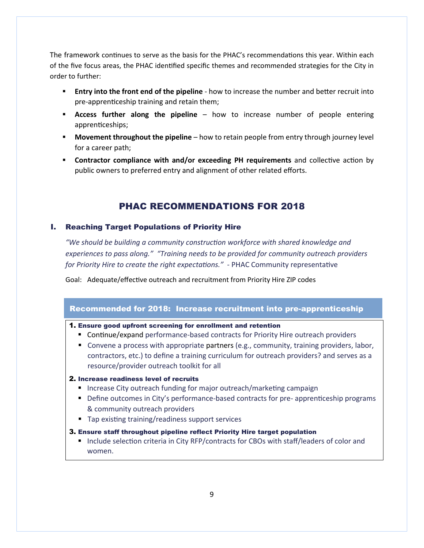The framework continues to serve as the basis for the PHAC's recommendations this year. Within each of the five focus areas, the PHAC identified specific themes and recommended strategies for the City in order to further:

- **Entry into the front end of the pipeline** how to increase the number and better recruit into pre-apprenticeship training and retain them;
- **EXECCES further along the pipeline** how to increase number of people entering apprenticeships;
- **Movement throughout the pipeline** how to retain people from entry through journey level for a career path;
- **Contractor compliance with and/or exceeding PH requirements** and collective action by public owners to preferred entry and alignment of other related efforts.

# PHAC RECOMMENDATIONS FOR 2018

#### I. Reaching Target Populations of Priority Hire

*"We should be building a community construction workforce with shared knowledge and experiences to pass along." "Training needs to be provided for community outreach providers for Priority Hire to create the right expectations." -* PHAC Community representative

Goal: Adequate/effective outreach and recruitment from Priority Hire ZIP codes

#### Recommended for 2018: Increase recruitment into pre-apprenticeship

#### 1. Ensure good upfront screening for enrollment and retention

- Continue/expand performance-based contracts for Priority Hire outreach providers
- Convene a process with appropriate partners (e.g., community, training providers, labor, contractors, etc.) to define a training curriculum for outreach providers? and serves as a resource/provider outreach toolkit for all

#### 2. Increase readiness level of recruits

- Increase City outreach funding for major outreach/marketing campaign
- Define outcomes in City's performance-based contracts for pre- apprenticeship programs & community outreach providers
- Tap existing training/readiness support services

#### 3. Ensure staff throughout pipeline reflect Priority Hire target population

■ Include selection criteria in City RFP/contracts for CBOs with staff/leaders of color and women.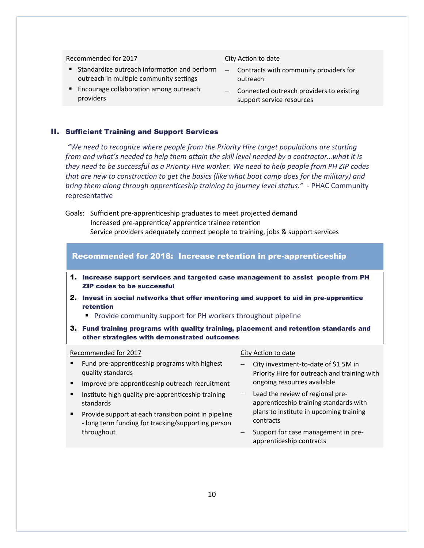#### Recommended for 2017

- Standardize outreach information and perform outreach in multiple community settings
- Encourage collaboration among outreach providers

#### City Action to date

- $-$  Contracts with community providers for outreach
- Connected outreach providers to existing support service resources

#### II. Sufficient Training and Support Services

*"We need to recognize where people from the Priority Hire target populations are starting from and what's needed to help them attain the skill level needed by a contractor…what it is they need to be successful as a Priority Hire worker. We need to help people from PH ZIP codes that are new to construction to get the basics (like what boot camp does for the military) and bring them along through apprenticeship training to journey level status." -* PHAC Community representative

Goals: Sufficient pre-apprenticeship graduates to meet projected demand Increased pre-apprentice/ apprentice trainee retention Service providers adequately connect people to training, jobs & support services

Recommended for 2018: Increase retention in pre-apprenticeship

- 1. Increase support services and targeted case management to assist people from PH ZIP codes to be successful
- 2. Invest in social networks that offer mentoring and support to aid in pre-apprentice retention
	- Provide community support for PH workers throughout pipeline
- 3. Fund training programs with quality training, placement and retention standards and other strategies with demonstrated outcomes

#### Recommended for 2017

#### ■ Fund pre-apprenticeship programs with highest quality standards

- Improve pre-apprenticeship outreach recruitment
- Institute high quality pre-apprenticeship training standards
- Provide support at each transition point in pipeline - long term funding for tracking/supporting person throughout

#### City Action to date

- City investment-to-date of \$1.5M in Priority Hire for outreach and training with ongoing resources available
- Lead the review of regional preapprenticeship training standards with plans to institute in upcoming training contracts
- Support for case management in preapprenticeship contracts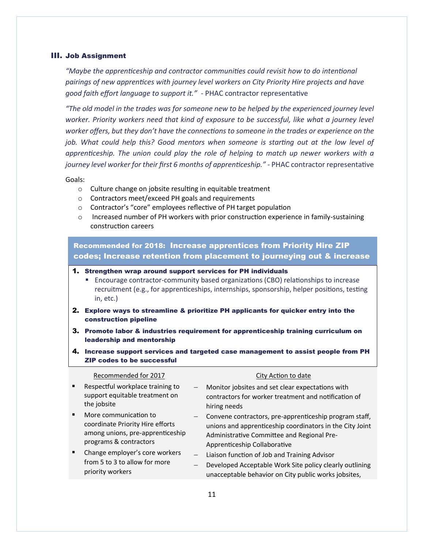#### III. Job Assignment

*"Maybe the apprenticeship and contractor communities could revisit how to do intentional pairings of new apprentices with journey level workers on City Priority Hire projects and have good faith effort language to support it." -* PHAC contractor representative

*"The old model in the trades was for someone new to be helped by the experienced journey level worker. Priority workers need that kind of exposure to be successful, like what a journey level worker offers, but they don't have the connections to someone in the trades or experience on the job. What could help this? Good mentors when someone is starting out at the low level of apprenticeship. The union could play the role of helping to match up newer workers with a journey level worker for their first 6 months of apprenticeship." -* PHAC contractor representative

#### Goals:

- o Culture change on jobsite resulting in equitable treatment
- o Contractors meet/exceed PH goals and requirements
- o Contractor's "core" employees reflective of PH target population
- o Increased number of PH workers with prior construction experience in family-sustaining construction careers

Recommended for 2018: Increase apprentices from Priority Hire ZIP codes; Increase retention from placement to journeying out & increase

- 1. Strengthen wrap around support services for PH individuals
	- Encourage contractor-community based organizations (CBO) relationships to increase recruitment (e.g., for apprenticeships, internships, sponsorship, helper positions, testing in, etc.)
- 2. Explore ways to streamline & prioritize PH applicants for quicker entry into the construction pipeline
- 3. Promote labor & industries requirement for apprenticeship training curriculum on leadership and mentorship
- 4. Increase support services and targeted case management to assist people from PH ZIP codes to be successful

#### Recommended for 2017

- Respectful workplace training to support equitable treatment on the jobsite
- More communication to coordinate Priority Hire efforts among unions, pre-apprenticeship programs & contractors
- Change employer's core workers from 5 to 3 to allow for more priority workers

#### City Action to date

- Monitor jobsites and set clear expectations with contractors for worker treatment and notification of hiring needs
- Convene contractors, pre-apprenticeship program staff, unions and apprenticeship coordinators in the City Joint Administrative Committee and Regional Pre-Apprenticeship Collaborative
- $-$  Liaison function of Job and Training Advisor
- Developed Acceptable Work Site policy clearly outlining unacceptable behavior on City public works jobsites,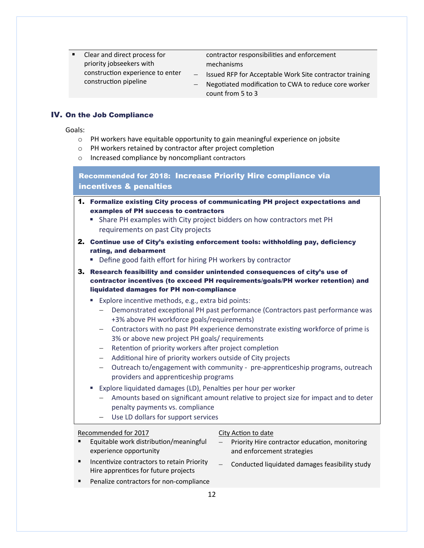| Clear and direct process for     | contractor responsibilities and enforcement               |
|----------------------------------|-----------------------------------------------------------|
| priority jobseekers with         | mechanisms                                                |
| construction experience to enter | - Issued RFP for Acceptable Work Site contractor training |
| construction pipeline            | - Negotiated modification to CWA to reduce core worker    |
|                                  | count from 5 to 3                                         |

#### IV. On the Job Compliance

Goals:

- o PH workers have equitable opportunity to gain meaningful experience on jobsite
- o PH workers retained by contractor after project completion
- o Increased compliance by noncompliant contractors

Recommended for 2018: Increase Priority Hire compliance via incentives & penalties

- 1. Formalize existing City process of communicating PH project expectations and examples of PH success to contractors
	- **EXTERGH EXAMPLERS WITH CITY PROJECT BIDDERS ON HOW CONTRACTORS MET PH** requirements on past City projects
- 2. Continue use of City's existing enforcement tools: withholding pay, deficiency rating, and debarment
	- Define good faith effort for hiring PH workers by contractor

3. Research feasibility and consider unintended consequences of city's use of contractor incentives (to exceed PH requirements/goals/PH worker retention) and liquidated damages for PH non-compliance

- Explore incentive methods, e.g., extra bid points:
	- Demonstrated exceptional PH past performance (Contractors past performance was +3% above PH workforce goals/requirements)
	- Contractors with no past PH experience demonstrate existing workforce of prime is 3% or above new project PH goals/ requirements
	- Retention of priority workers after project completion
	- Additional hire of priority workers outside of City projects
	- Outreach to/engagement with community pre-apprenticeship programs, outreach providers and apprenticeship programs
- Explore liquidated damages (LD), Penalties per hour per worker
	- Amounts based on significant amount relative to project size for impact and to deter penalty payments vs. compliance
	- Use LD dollars for support services

Recommended for 2017

#### City Action to date

- Equitable work distribution/meaningful experience opportunity Priority Hire contractor education, monitoring and enforcement strategies
- Incentivize contractors to retain Priority Hire apprentices for future projects
- Conducted liquidated damages feasibility study
- Penalize contractors for non-compliance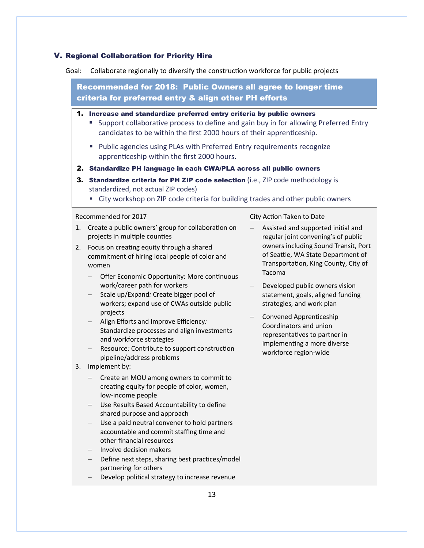#### V. Regional Collaboration for Priority Hire

Goal: Collaborate regionally to diversify the construction workforce for public projects

Recommended for 2018: Public Owners all agree to longer time criteria for preferred entry & align other PH efforts

#### 1. Increase and standardize preferred entry criteria by public owners

- Support collaborative process to define and gain buy in for allowing Preferred Entry candidates to be within the first 2000 hours of their apprenticeship.
- Public agencies using PLAs with Preferred Entry requirements recognize apprenticeship within the first 2000 hours.
- 2. Standardize PH language in each CWA/PLA across all public owners
- **3. Standardize criteria for PH ZIP code selection** (i.e., ZIP code methodology is standardized, not actual ZIP codes)
	- City workshop on ZIP code criteria for building trades and other public owners

#### Recommended for 2017

- 1. Create a public owners' group for collaboration on projects in multiple counties
- 2. Focus on creating equity through a shared commitment of hiring local people of color and women
	- Offer Economic Opportunity: More continuous work/career path for workers
	- Scale up/Expand: Create bigger pool of workers; expand use of CWAs outside public projects
	- Align Efforts and Improve Efficiency*:*  Standardize processes and align investments and workforce strategies
	- Resource*:* Contribute to support construction pipeline/address problems
- 3. Implement by:
	- Create an MOU among owners to commit to creating equity for people of color, women, low-income people
	- Use Results Based Accountability to define shared purpose and approach
	- Use a paid neutral convener to hold partners accountable and commit staffing time and other financial resources
	- $-$  Involve decision makers
	- Define next steps, sharing best practices/model partnering for others
	- Develop political strategy to increase revenue

#### City Action Taken to Date

- Assisted and supported initial and regular joint convening's of public owners including Sound Transit, Port of Seattle, WA State Department of Transportation, King County, City of Tacoma
- Developed public owners vision statement, goals, aligned funding strategies, and work plan
- Convened Apprenticeship Coordinators and union representatives to partner in implementing a more diverse workforce region-wide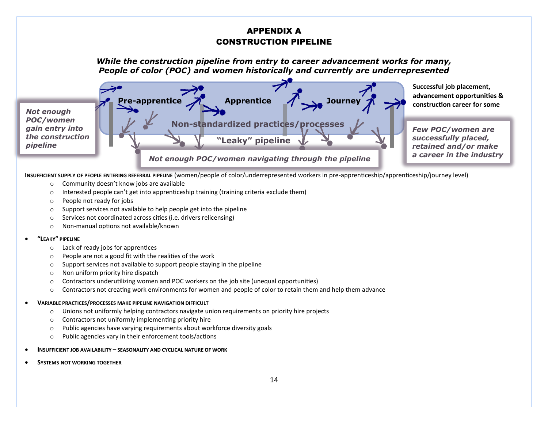# APPENDIX A CONSTRUCTION PIPELINE

*While the construction pipeline from entry to career advancement works for many, People of color (POC) and women historically and currently are underrepresented*



**INSUFFICIENT SUPPLY OF PEOPLE ENTERING REFERRAL PIPELINE** (women/people of color/underrepresented workers in pre-apprenticeship/apprenticeship/journey level)

- o Community doesn't know jobs are available
- $\circ$  Interested people can't get into apprenticeship training (training criteria exclude them)
- o People not ready for jobs
- o Support services not available to help people get into the pipeline
- o Services not coordinated across cities (i.e. drivers relicensing)
- o Non-manual options not available/known

#### • **"LEAKY" PIPELINE**

- o Lack of ready jobs for apprentices
- o People are not a good fit with the realities of the work
- o Support services not available to support people staying in the pipeline
- o Non uniform priority hire dispatch
- $\circ$  Contractors underutilizing women and POC workers on the job site (unequal opportunities)
- o Contractors not creating work environments for women and people of color to retain them and help them advance
- **VARIABLE PRACTICES/PROCESSES MAKE PIPELINE NAVIGATION DIFFICULT** 
	- o Unions not uniformly helping contractors navigate union requirements on priority hire projects
	- o Contractors not uniformly implementing priority hire
	- o Public agencies have varying requirements about workforce diversity goals
	- o Public agencies vary in their enforcement tools/actions
- **INSUFFICIENT JOB AVAILABILITY – SEASONALITY AND CYCLICAL NATURE OF WORK**
- **SYSTEMS NOT WORKING TOGETHER**